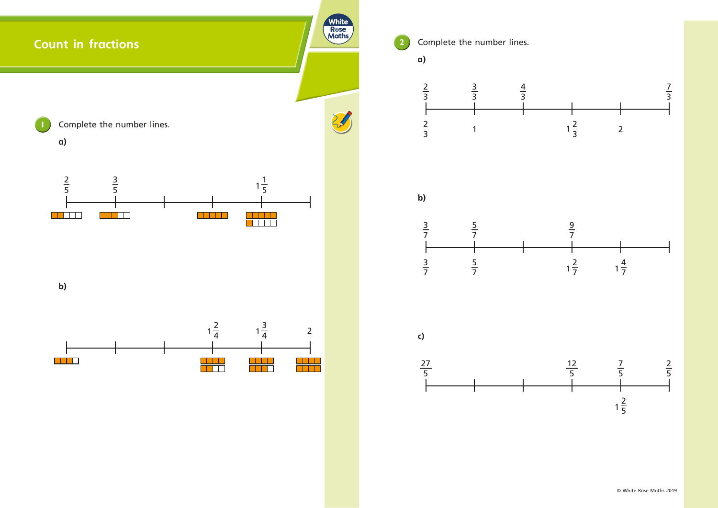